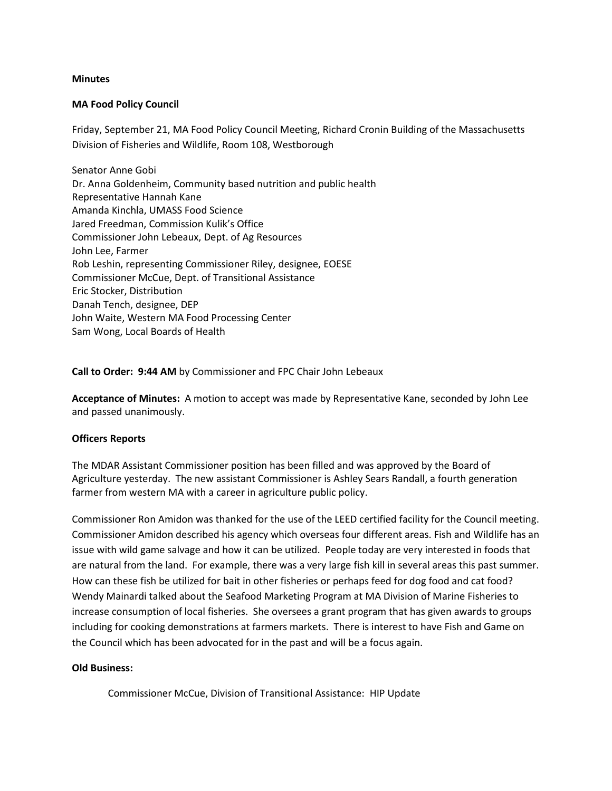## **Minutes**

## **MA Food Policy Council**

Friday, September 21, MA Food Policy Council Meeting, Richard Cronin Building of the Massachusetts Division of Fisheries and Wildlife, Room 108, Westborough

Senator Anne Gobi Dr. Anna Goldenheim, Community based nutrition and public health Representative Hannah Kane Amanda Kinchla, UMASS Food Science Jared Freedman, Commission Kulik's Office Commissioner John Lebeaux, Dept. of Ag Resources John Lee, Farmer Rob Leshin, representing Commissioner Riley, designee, EOESE Commissioner McCue, Dept. of Transitional Assistance Eric Stocker, Distribution Danah Tench, designee, DEP John Waite, Western MA Food Processing Center Sam Wong, Local Boards of Health

**Call to Order: 9:44 AM** by Commissioner and FPC Chair John Lebeaux

**Acceptance of Minutes:** A motion to accept was made by Representative Kane, seconded by John Lee and passed unanimously.

### **Officers Reports**

The MDAR Assistant Commissioner position has been filled and was approved by the Board of Agriculture yesterday. The new assistant Commissioner is Ashley Sears Randall, a fourth generation farmer from western MA with a career in agriculture public policy.

Commissioner Ron Amidon was thanked for the use of the LEED certified facility for the Council meeting. Commissioner Amidon described his agency which overseas four different areas. Fish and Wildlife has an issue with wild game salvage and how it can be utilized. People today are very interested in foods that are natural from the land. For example, there was a very large fish kill in several areas this past summer. How can these fish be utilized for bait in other fisheries or perhaps feed for dog food and cat food? Wendy Mainardi talked about the Seafood Marketing Program at MA Division of Marine Fisheries to increase consumption of local fisheries. She oversees a grant program that has given awards to groups including for cooking demonstrations at farmers markets. There is interest to have Fish and Game on the Council which has been advocated for in the past and will be a focus again.

### **Old Business:**

Commissioner McCue, Division of Transitional Assistance: HIP Update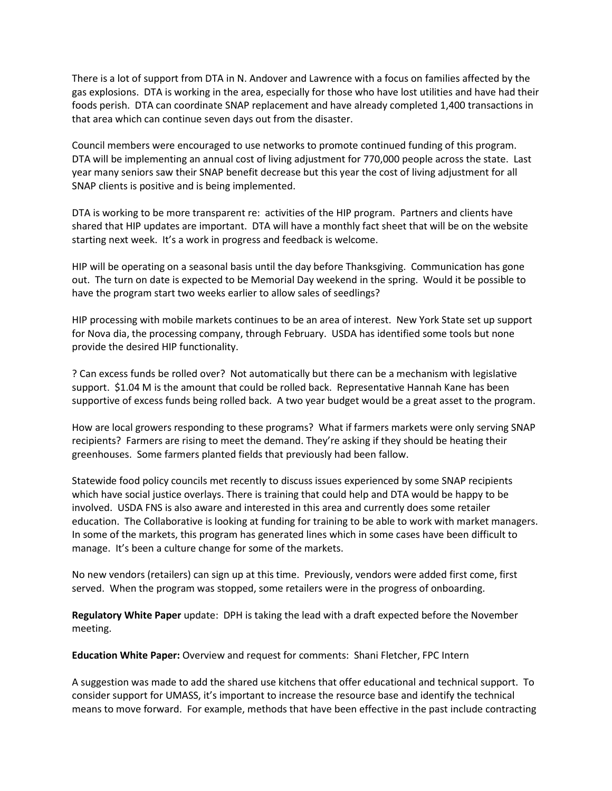There is a lot of support from DTA in N. Andover and Lawrence with a focus on families affected by the gas explosions. DTA is working in the area, especially for those who have lost utilities and have had their foods perish. DTA can coordinate SNAP replacement and have already completed 1,400 transactions in that area which can continue seven days out from the disaster.

Council members were encouraged to use networks to promote continued funding of this program. DTA will be implementing an annual cost of living adjustment for 770,000 people across the state. Last year many seniors saw their SNAP benefit decrease but this year the cost of living adjustment for all SNAP clients is positive and is being implemented.

DTA is working to be more transparent re: activities of the HIP program. Partners and clients have shared that HIP updates are important. DTA will have a monthly fact sheet that will be on the website starting next week. It's a work in progress and feedback is welcome.

HIP will be operating on a seasonal basis until the day before Thanksgiving. Communication has gone out. The turn on date is expected to be Memorial Day weekend in the spring. Would it be possible to have the program start two weeks earlier to allow sales of seedlings?

HIP processing with mobile markets continues to be an area of interest. New York State set up support for Nova dia, the processing company, through February. USDA has identified some tools but none provide the desired HIP functionality.

? Can excess funds be rolled over? Not automatically but there can be a mechanism with legislative support. \$1.04 M is the amount that could be rolled back. Representative Hannah Kane has been supportive of excess funds being rolled back. A two year budget would be a great asset to the program.

How are local growers responding to these programs? What if farmers markets were only serving SNAP recipients? Farmers are rising to meet the demand. They're asking if they should be heating their greenhouses. Some farmers planted fields that previously had been fallow.

Statewide food policy councils met recently to discuss issues experienced by some SNAP recipients which have social justice overlays. There is training that could help and DTA would be happy to be involved. USDA FNS is also aware and interested in this area and currently does some retailer education. The Collaborative is looking at funding for training to be able to work with market managers. In some of the markets, this program has generated lines which in some cases have been difficult to manage. It's been a culture change for some of the markets.

No new vendors (retailers) can sign up at this time. Previously, vendors were added first come, first served. When the program was stopped, some retailers were in the progress of onboarding.

**Regulatory White Paper** update: DPH is taking the lead with a draft expected before the November meeting.

**Education White Paper:** Overview and request for comments: Shani Fletcher, FPC Intern

A suggestion was made to add the shared use kitchens that offer educational and technical support. To consider support for UMASS, it's important to increase the resource base and identify the technical means to move forward. For example, methods that have been effective in the past include contracting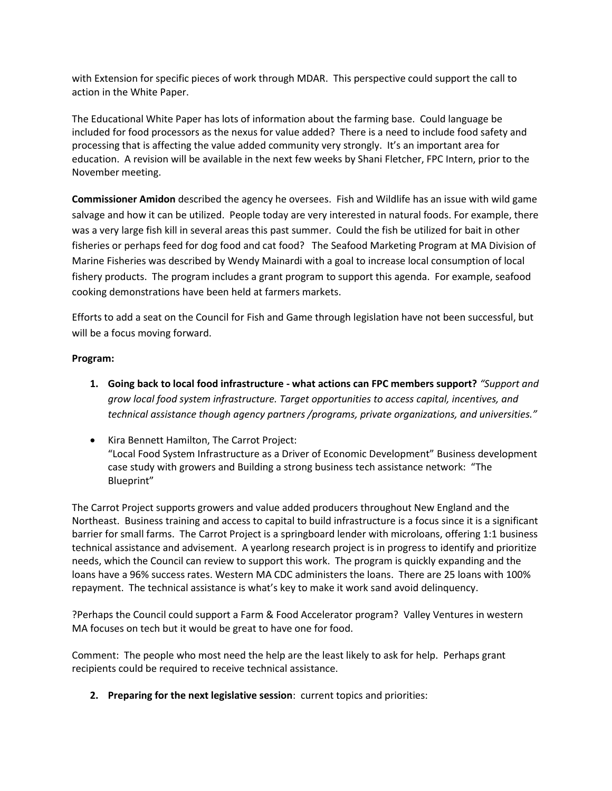with Extension for specific pieces of work through MDAR. This perspective could support the call to action in the White Paper.

The Educational White Paper has lots of information about the farming base. Could language be included for food processors as the nexus for value added? There is a need to include food safety and processing that is affecting the value added community very strongly. It's an important area for education. A revision will be available in the next few weeks by Shani Fletcher, FPC Intern, prior to the November meeting.

**Commissioner Amidon** described the agency he oversees. Fish and Wildlife has an issue with wild game salvage and how it can be utilized. People today are very interested in natural foods. For example, there was a very large fish kill in several areas this past summer. Could the fish be utilized for bait in other fisheries or perhaps feed for dog food and cat food? The Seafood Marketing Program at MA Division of Marine Fisheries was described by Wendy Mainardi with a goal to increase local consumption of local fishery products. The program includes a grant program to support this agenda. For example, seafood cooking demonstrations have been held at farmers markets.

Efforts to add a seat on the Council for Fish and Game through legislation have not been successful, but will be a focus moving forward.

# **Program:**

- **1. Going back to local food infrastructure - what actions can FPC members support?** *"Support and grow local food system infrastructure. Target opportunities to access capital, incentives, and technical assistance though agency partners /programs, private organizations, and universities."*
- Kira Bennett Hamilton, The Carrot Project: "Local Food System Infrastructure as a Driver of Economic Development" Business development case study with growers and Building a strong business tech assistance network: "The Blueprint"

The Carrot Project supports growers and value added producers throughout New England and the Northeast. Business training and access to capital to build infrastructure is a focus since it is a significant barrier for small farms. The Carrot Project is a springboard lender with microloans, offering 1:1 business technical assistance and advisement. A yearlong research project is in progress to identify and prioritize needs, which the Council can review to support this work. The program is quickly expanding and the loans have a 96% success rates. Western MA CDC administers the loans. There are 25 loans with 100% repayment. The technical assistance is what's key to make it work sand avoid delinquency.

?Perhaps the Council could support a Farm & Food Accelerator program? Valley Ventures in western MA focuses on tech but it would be great to have one for food.

Comment: The people who most need the help are the least likely to ask for help. Perhaps grant recipients could be required to receive technical assistance.

**2. Preparing for the next legislative session**: current topics and priorities: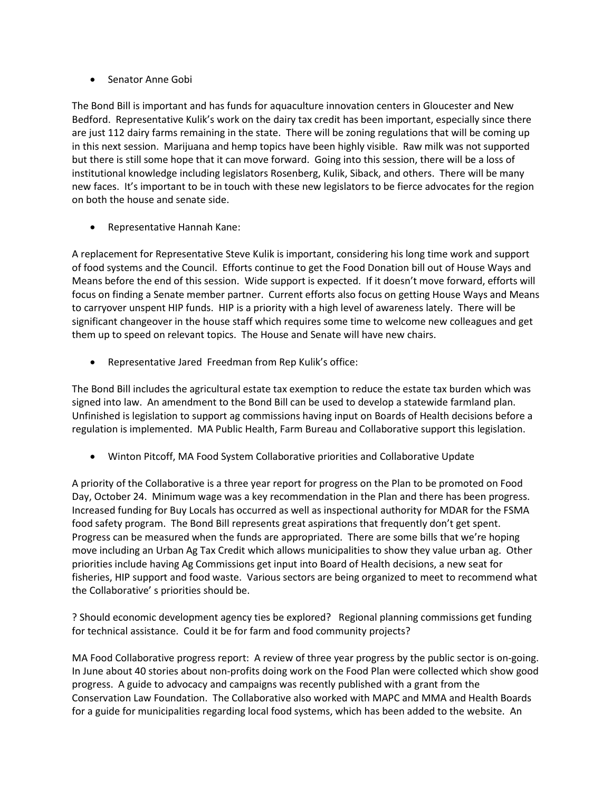# Senator Anne Gobi

The Bond Bill is important and has funds for aquaculture innovation centers in Gloucester and New Bedford. Representative Kulik's work on the dairy tax credit has been important, especially since there are just 112 dairy farms remaining in the state. There will be zoning regulations that will be coming up in this next session. Marijuana and hemp topics have been highly visible. Raw milk was not supported but there is still some hope that it can move forward. Going into this session, there will be a loss of institutional knowledge including legislators Rosenberg, Kulik, Siback, and others. There will be many new faces. It's important to be in touch with these new legislators to be fierce advocates for the region on both the house and senate side.

Representative Hannah Kane:

A replacement for Representative Steve Kulik is important, considering his long time work and support of food systems and the Council. Efforts continue to get the Food Donation bill out of House Ways and Means before the end of this session. Wide support is expected. If it doesn't move forward, efforts will focus on finding a Senate member partner. Current efforts also focus on getting House Ways and Means to carryover unspent HIP funds. HIP is a priority with a high level of awareness lately. There will be significant changeover in the house staff which requires some time to welcome new colleagues and get them up to speed on relevant topics. The House and Senate will have new chairs.

Representative Jared Freedman from Rep Kulik's office:

The Bond Bill includes the agricultural estate tax exemption to reduce the estate tax burden which was signed into law. An amendment to the Bond Bill can be used to develop a statewide farmland plan. Unfinished is legislation to support ag commissions having input on Boards of Health decisions before a regulation is implemented. MA Public Health, Farm Bureau and Collaborative support this legislation.

Winton Pitcoff, MA Food System Collaborative priorities and Collaborative Update

A priority of the Collaborative is a three year report for progress on the Plan to be promoted on Food Day, October 24. Minimum wage was a key recommendation in the Plan and there has been progress. Increased funding for Buy Locals has occurred as well as inspectional authority for MDAR for the FSMA food safety program. The Bond Bill represents great aspirations that frequently don't get spent. Progress can be measured when the funds are appropriated. There are some bills that we're hoping move including an Urban Ag Tax Credit which allows municipalities to show they value urban ag. Other priorities include having Ag Commissions get input into Board of Health decisions, a new seat for fisheries, HIP support and food waste. Various sectors are being organized to meet to recommend what the Collaborative' s priorities should be.

? Should economic development agency ties be explored? Regional planning commissions get funding for technical assistance. Could it be for farm and food community projects?

MA Food Collaborative progress report: A review of three year progress by the public sector is on-going. In June about 40 stories about non-profits doing work on the Food Plan were collected which show good progress. A guide to advocacy and campaigns was recently published with a grant from the Conservation Law Foundation. The Collaborative also worked with MAPC and MMA and Health Boards for a guide for municipalities regarding local food systems, which has been added to the website. An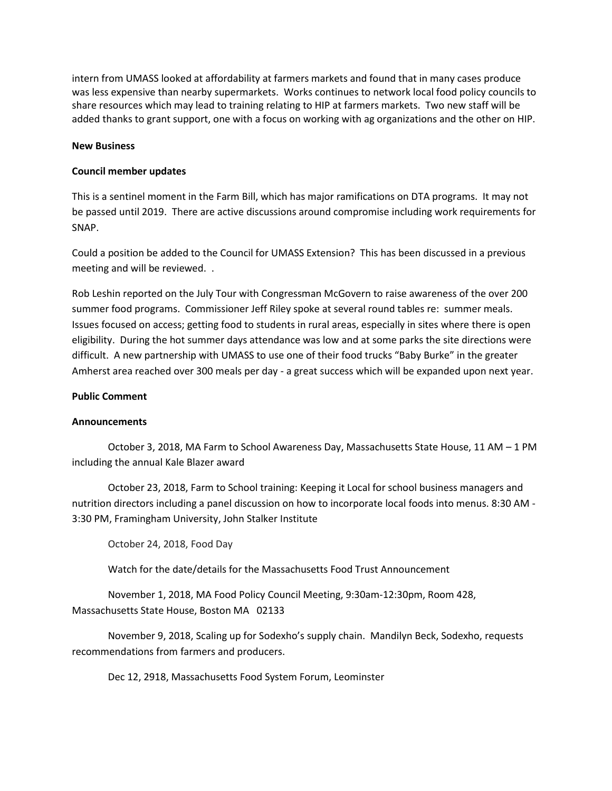intern from UMASS looked at affordability at farmers markets and found that in many cases produce was less expensive than nearby supermarkets. Works continues to network local food policy councils to share resources which may lead to training relating to HIP at farmers markets. Two new staff will be added thanks to grant support, one with a focus on working with ag organizations and the other on HIP.

### **New Business**

### **Council member updates**

This is a sentinel moment in the Farm Bill, which has major ramifications on DTA programs. It may not be passed until 2019. There are active discussions around compromise including work requirements for SNAP.

Could a position be added to the Council for UMASS Extension? This has been discussed in a previous meeting and will be reviewed. .

Rob Leshin reported on the July Tour with Congressman McGovern to raise awareness of the over 200 summer food programs. Commissioner Jeff Riley spoke at several round tables re: summer meals. Issues focused on access; getting food to students in rural areas, especially in sites where there is open eligibility. During the hot summer days attendance was low and at some parks the site directions were difficult. A new partnership with UMASS to use one of their food trucks "Baby Burke" in the greater Amherst area reached over 300 meals per day - a great success which will be expanded upon next year.

### **Public Comment**

### **Announcements**

October 3, 2018, MA Farm to School Awareness Day, Massachusetts State House, 11 AM – 1 PM including the annual Kale Blazer award

October 23, 2018, Farm to School training: Keeping it Local for school business managers and nutrition directors including a panel discussion on how to incorporate local foods into menus. 8:30 AM - 3:30 PM, Framingham University, John Stalker Institute

October 24, 2018, Food Day

Watch for the date/details for the Massachusetts Food Trust Announcement

November 1, 2018, MA Food Policy Council Meeting, 9:30am-12:30pm, Room 428, Massachusetts State House, Boston MA 02133

November 9, 2018, Scaling up for Sodexho's supply chain. Mandilyn Beck, Sodexho, requests recommendations from farmers and producers.

Dec 12, 2918, Massachusetts Food System Forum, Leominster